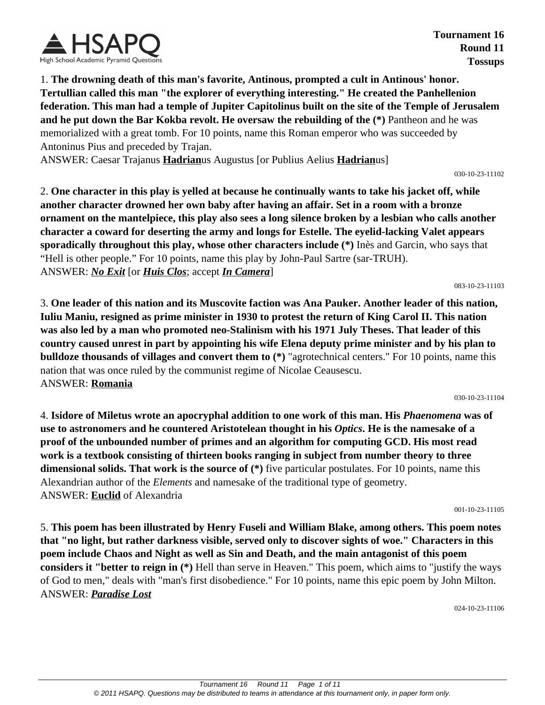

**Tournament 16 Round 11 Tossups**

1. **The drowning death of this man's favorite, Antinous, prompted a cult in Antinous' honor. Tertullian called this man "the explorer of everything interesting." He created the Panhellenion federation. This man had a temple of Jupiter Capitolinus built on the site of the Temple of Jerusalem and he put down the Bar Kokba revolt. He oversaw the rebuilding of the (\*)** Pantheon and he was memorialized with a great tomb. For 10 points, name this Roman emperor who was succeeded by Antoninus Pius and preceded by Trajan.

ANSWER: Caesar Trajanus **Hadrian**us Augustus [or Publius Aelius **Hadrian**us]

030-10-23-11102

2. **One character in this play is yelled at because he continually wants to take his jacket off, while another character drowned her own baby after having an affair. Set in a room with a bronze ornament on the mantelpiece, this play also sees a long silence broken by a lesbian who calls another character a coward for deserting the army and longs for Estelle. The eyelid-lacking Valet appears sporadically throughout this play, whose other characters include (\*)** Inès and Garcin, who says that "Hell is other people." For 10 points, name this play by John-Paul Sartre (sar-TRUH). ANSWER: *No Exit* [or *Huis Clos*; accept *In Camera*]

083-10-23-11103

3. **One leader of this nation and its Muscovite faction was Ana Pauker. Another leader of this nation, Iuliu Maniu, resigned as prime minister in 1930 to protest the return of King Carol II. This nation was also led by a man who promoted neo-Stalinism with his 1971 July Theses. That leader of this country caused unrest in part by appointing his wife Elena deputy prime minister and by his plan to bulldoze thousands of villages and convert them to (\*)** "agrotechnical centers." For 10 points, name this nation that was once ruled by the communist regime of Nicolae Ceausescu. ANSWER: **Romania**

030-10-23-11104

4. **Isidore of Miletus wrote an apocryphal addition to one work of this man. His** *Phaenomena* **was of use to astronomers and he countered Aristotelean thought in his** *Optics***. He is the namesake of a proof of the unbounded number of primes and an algorithm for computing GCD. His most read work is a textbook consisting of thirteen books ranging in subject from number theory to three dimensional solids. That work is the source of (\*)** five particular postulates. For 10 points, name this Alexandrian author of the *Elements* and namesake of the traditional type of geometry. ANSWER: **Euclid** of Alexandria

001-10-23-11105

5. **This poem has been illustrated by Henry Fuseli and William Blake, among others. This poem notes that "no light, but rather darkness visible, served only to discover sights of woe." Characters in this poem include Chaos and Night as well as Sin and Death, and the main antagonist of this poem considers it "better to reign in (\*)** Hell than serve in Heaven." This poem, which aims to "justify the ways of God to men," deals with "man's first disobedience." For 10 points, name this epic poem by John Milton. ANSWER: *Paradise Lost*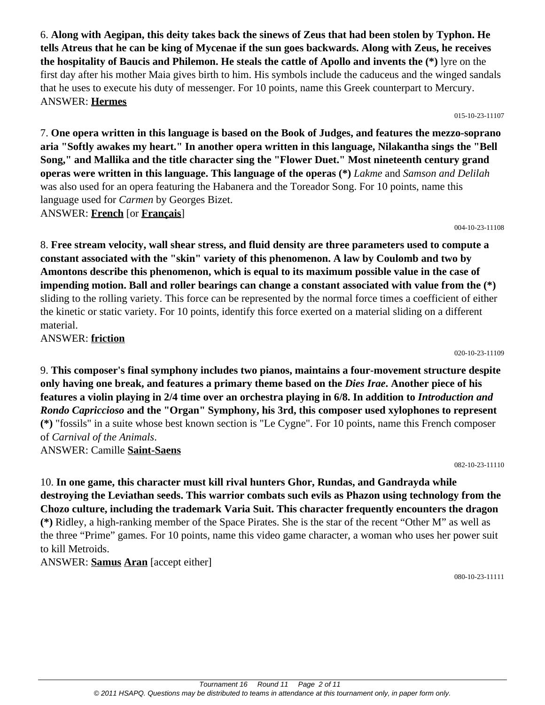6. **Along with Aegipan, this deity takes back the sinews of Zeus that had been stolen by Typhon. He tells Atreus that he can be king of Mycenae if the sun goes backwards. Along with Zeus, he receives the hospitality of Baucis and Philemon. He steals the cattle of Apollo and invents the (\*)** lyre on the first day after his mother Maia gives birth to him. His symbols include the caduceus and the winged sandals that he uses to execute his duty of messenger. For 10 points, name this Greek counterpart to Mercury. ANSWER: **Hermes**

015-10-23-11107

7. **One opera written in this language is based on the Book of Judges, and features the mezzo-soprano aria "Softly awakes my heart." In another opera written in this language, Nilakantha sings the "Bell Song," and Mallika and the title character sing the "Flower Duet." Most nineteenth century grand operas were written in this language. This language of the operas (\*)** *Lakme* and *Samson and Delilah* was also used for an opera featuring the Habanera and the Toreador Song. For 10 points, name this language used for *Carmen* by Georges Bizet. ANSWER: **French** [or **Français**]

004-10-23-11108

8. **Free stream velocity, wall shear stress, and fluid density are three parameters used to compute a constant associated with the "skin" variety of this phenomenon. A law by Coulomb and two by Amontons describe this phenomenon, which is equal to its maximum possible value in the case of impending motion. Ball and roller bearings can change a constant associated with value from the (\*)** sliding to the rolling variety. This force can be represented by the normal force times a coefficient of either the kinetic or static variety. For 10 points, identify this force exerted on a material sliding on a different material.

ANSWER: **friction**

020-10-23-11109

9. **This composer's final symphony includes two pianos, maintains a four-movement structure despite only having one break, and features a primary theme based on the** *Dies Irae***. Another piece of his features a violin playing in 2/4 time over an orchestra playing in 6/8. In addition to** *Introduction and Rondo Capriccioso* **and the "Organ" Symphony, his 3rd, this composer used xylophones to represent (\*)** "fossils" in a suite whose best known section is "Le Cygne". For 10 points, name this French composer of *Carnival of the Animals*. ANSWER: Camille **Saint-Saens**

082-10-23-11110

10. **In one game, this character must kill rival hunters Ghor, Rundas, and Gandrayda while destroying the Leviathan seeds. This warrior combats such evils as Phazon using technology from the Chozo culture, including the trademark Varia Suit. This character frequently encounters the dragon (\*)** Ridley, a high-ranking member of the Space Pirates. She is the star of the recent "Other M" as well as the three "Prime" games. For 10 points, name this video game character, a woman who uses her power suit to kill Metroids.

ANSWER: **Samus Aran** [accept either]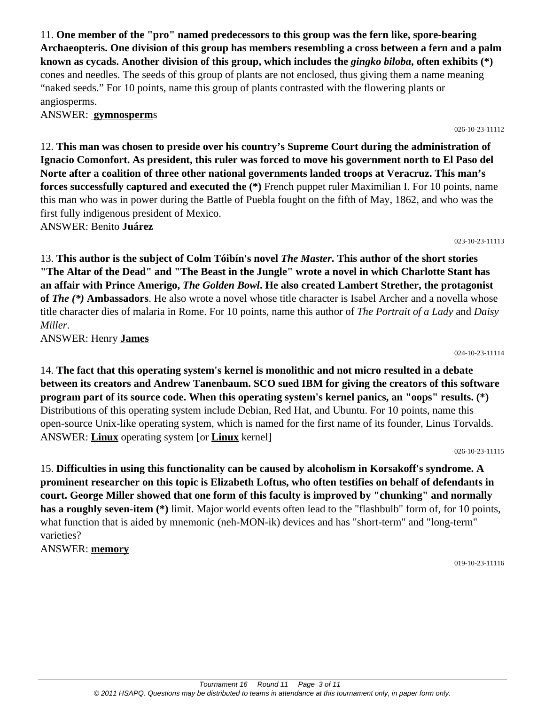11. **One member of the "pro" named predecessors to this group was the fern like, spore-bearing Archaeopteris. One division of this group has members resembling a cross between a fern and a palm known as cycads. Another division of this group, which includes the** *gingko biloba***, often exhibits (\*)** cones and needles. The seeds of this group of plants are not enclosed, thus giving them a name meaning "naked seeds." For 10 points, name this group of plants contrasted with the flowering plants or angiosperms.

ANSWER: **gymnosperm**s

12. **This man was chosen to preside over his country's Supreme Court during the administration of Ignacio Comonfort. As president, this ruler was forced to move his government north to El Paso del Norte after a coalition of three other national governments landed troops at Veracruz. This man's forces successfully captured and executed the (\*)** French puppet ruler Maximilian I. For 10 points, name this man who was in power during the Battle of Puebla fought on the fifth of May, 1862, and who was the first fully indigenous president of Mexico.

ANSWER: Benito **Juárez**

13. **This author is the subject of Colm Tóibín's novel** *The Master***. This author of the short stories "The Altar of the Dead" and "The Beast in the Jungle" wrote a novel in which Charlotte Stant has an affair with Prince Amerigo,** *The Golden Bowl***. He also created Lambert Strether, the protagonist of** *The (\*)* **Ambassadors**. He also wrote a novel whose title character is Isabel Archer and a novella whose title character dies of malaria in Rome. For 10 points, name this author of *The Portrait of a Lady* and *Daisy Miller*.

ANSWER: Henry **James**

14. **The fact that this operating system's kernel is monolithic and not micro resulted in a debate between its creators and Andrew Tanenbaum. SCO sued IBM for giving the creators of this software program part of its source code. When this operating system's kernel panics, an "oops" results. (\*)** Distributions of this operating system include Debian, Red Hat, and Ubuntu. For 10 points, name this open-source Unix-like operating system, which is named for the first name of its founder, Linus Torvalds. ANSWER: **Linux** operating system [or **Linux** kernel]

026-10-23-11115

024-10-23-11114

15. **Difficulties in using this functionality can be caused by alcoholism in Korsakoff's syndrome. A prominent researcher on this topic is Elizabeth Loftus, who often testifies on behalf of defendants in court. George Miller showed that one form of this faculty is improved by "chunking" and normally has a roughly seven-item (\*)** limit. Major world events often lead to the "flashbulb" form of, for 10 points, what function that is aided by mnemonic (neh-MON-ik) devices and has "short-term" and "long-term" varieties?

ANSWER: **memory**

019-10-23-11116

#### 026-10-23-11112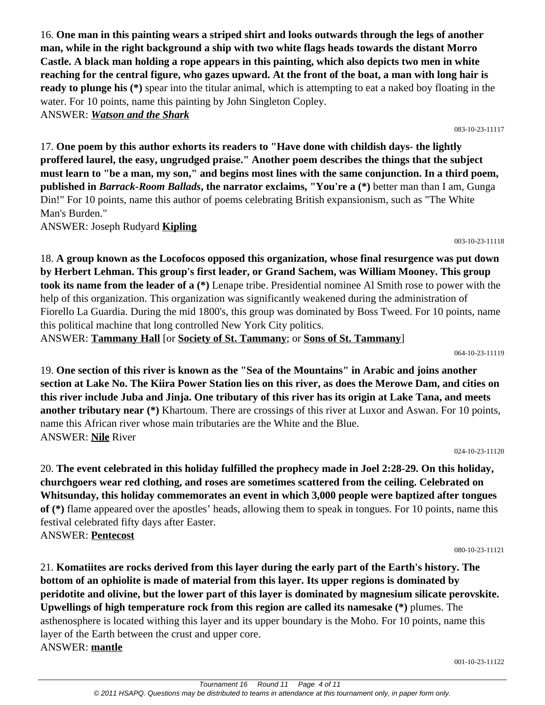16. **One man in this painting wears a striped shirt and looks outwards through the legs of another man, while in the right background a ship with two white flags heads towards the distant Morro Castle. A black man holding a rope appears in this painting, which also depicts two men in white reaching for the central figure, who gazes upward. At the front of the boat, a man with long hair is ready to plunge his (\*)** spear into the titular animal, which is attempting to eat a naked boy floating in the water. For 10 points, name this painting by John Singleton Copley.

ANSWER: *Watson and the Shark*

17. **One poem by this author exhorts its readers to "Have done with childish days- the lightly proffered laurel, the easy, ungrudged praise." Another poem describes the things that the subject must learn to "be a man, my son," and begins most lines with the same conjunction. In a third poem, published in** *Barrack-Room Ballads***, the narrator exclaims, "You're a (\*)** better man than I am, Gunga Din!" For 10 points, name this author of poems celebrating British expansionism, such as "The White Man's Burden."

ANSWER: Joseph Rudyard **Kipling**

18. **A group known as the Locofocos opposed this organization, whose final resurgence was put down by Herbert Lehman. This group's first leader, or Grand Sachem, was William Mooney. This group took its name from the leader of a (\*)** Lenape tribe. Presidential nominee Al Smith rose to power with the help of this organization. This organization was significantly weakened during the administration of Fiorello La Guardia. During the mid 1800's, this group was dominated by Boss Tweed. For 10 points, name this political machine that long controlled New York City politics.

ANSWER: **Tammany Hall** [or **Society of St. Tammany**; or **Sons of St. Tammany**]

064-10-23-11119

19. **One section of this river is known as the "Sea of the Mountains" in Arabic and joins another section at Lake No. The Kiira Power Station lies on this river, as does the Merowe Dam, and cities on this river include Juba and Jinja. One tributary of this river has its origin at Lake Tana, and meets another tributary near (\*)** Khartoum. There are crossings of this river at Luxor and Aswan. For 10 points, name this African river whose main tributaries are the White and the Blue. ANSWER: **Nile** River

024-10-23-11120

20. **The event celebrated in this holiday fulfilled the prophecy made in Joel 2:28-29. On this holiday, churchgoers wear red clothing, and roses are sometimes scattered from the ceiling. Celebrated on Whitsunday, this holiday commemorates an event in which 3,000 people were baptized after tongues of (\*)** flame appeared over the apostles' heads, allowing them to speak in tongues. For 10 points, name this festival celebrated fifty days after Easter. ANSWER: **Pentecost**

080-10-23-11121

001-10-23-11122

21. **Komatiites are rocks derived from this layer during the early part of the Earth's history. The bottom of an ophiolite is made of material from this layer. Its upper regions is dominated by peridotite and olivine, but the lower part of this layer is dominated by magnesium silicate perovskite. Upwellings of high temperature rock from this region are called its namesake (\*)** plumes. The asthenosphere is located withing this layer and its upper boundary is the Moho. For 10 points, name this layer of the Earth between the crust and upper core. ANSWER: **mantle**

083-10-23-11117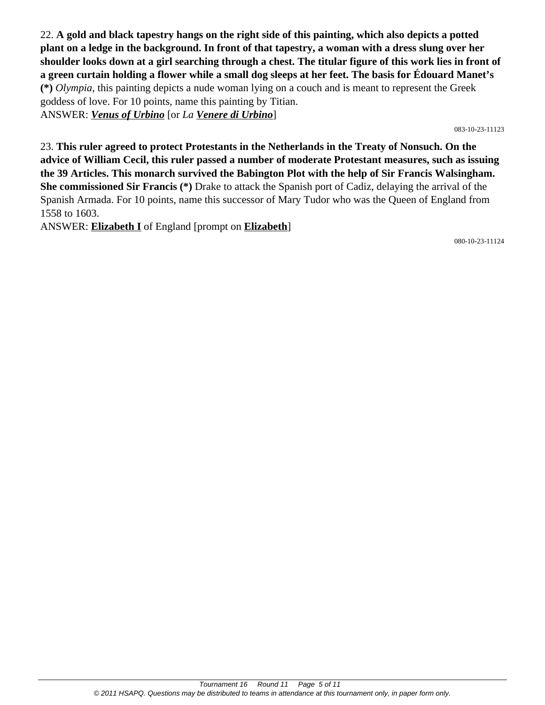22. **A gold and black tapestry hangs on the right side of this painting, which also depicts a potted plant on a ledge in the background. In front of that tapestry, a woman with a dress slung over her shoulder looks down at a girl searching through a chest. The titular figure of this work lies in front of a green curtain holding a flower while a small dog sleeps at her feet. The basis for Édouard Manet's (\*)** *Olympia*, this painting depicts a nude woman lying on a couch and is meant to represent the Greek goddess of love. For 10 points, name this painting by Titian. ANSWER: *Venus of Urbino* [or *La Venere di Urbino*]

083-10-23-11123

23. **This ruler agreed to protect Protestants in the Netherlands in the Treaty of Nonsuch. On the advice of William Cecil, this ruler passed a number of moderate Protestant measures, such as issuing the 39 Articles. This monarch survived the Babington Plot with the help of Sir Francis Walsingham. She commissioned Sir Francis (\*)** Drake to attack the Spanish port of Cadiz, delaying the arrival of the Spanish Armada. For 10 points, name this successor of Mary Tudor who was the Queen of England from 1558 to 1603.

ANSWER: **Elizabeth I** of England [prompt on **Elizabeth**]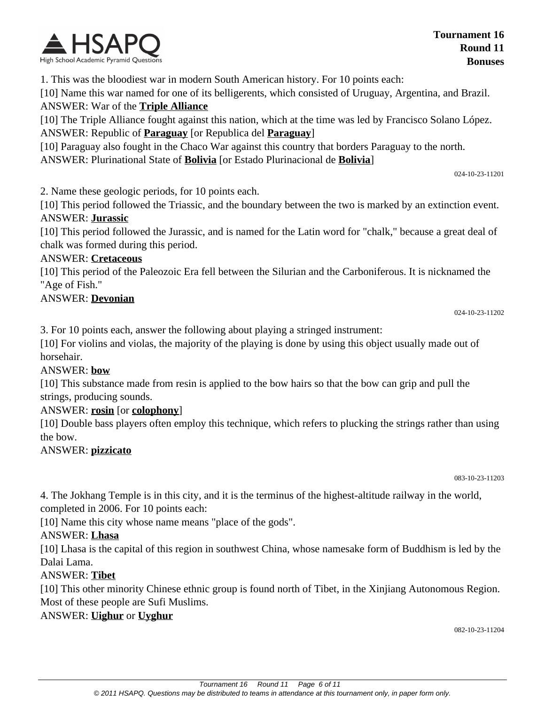

1. This was the bloodiest war in modern South American history. For 10 points each:

[10] Name this war named for one of its belligerents, which consisted of Uruguay, Argentina, and Brazil. ANSWER: War of the **Triple Alliance**

[10] The Triple Alliance fought against this nation, which at the time was led by Francisco Solano López. ANSWER: Republic of **Paraguay** [or Republica del **Paraguay**]

[10] Paraguay also fought in the Chaco War against this country that borders Paraguay to the north. ANSWER: Plurinational State of **Bolivia** [or Estado Plurinacional de **Bolivia**]

024-10-23-11201

2. Name these geologic periods, for 10 points each.

[10] This period followed the Triassic, and the boundary between the two is marked by an extinction event. ANSWER: **Jurassic**

[10] This period followed the Jurassic, and is named for the Latin word for "chalk," because a great deal of chalk was formed during this period.

#### ANSWER: **Cretaceous**

[10] This period of the Paleozoic Era fell between the Silurian and the Carboniferous. It is nicknamed the "Age of Fish."

#### ANSWER: **Devonian**

024-10-23-11202

3. For 10 points each, answer the following about playing a stringed instrument:

[10] For violins and violas, the majority of the playing is done by using this object usually made out of horsehair.

#### ANSWER: **bow**

[10] This substance made from resin is applied to the bow hairs so that the bow can grip and pull the strings, producing sounds.

#### ANSWER: **rosin** [or **colophony**]

[10] Double bass players often employ this technique, which refers to plucking the strings rather than using the bow.

#### ANSWER: **pizzicato**

083-10-23-11203

4. The Jokhang Temple is in this city, and it is the terminus of the highest-altitude railway in the world, completed in 2006. For 10 points each:

[10] Name this city whose name means "place of the gods".

#### ANSWER: **Lhasa**

[10] Lhasa is the capital of this region in southwest China, whose namesake form of Buddhism is led by the Dalai Lama.

### ANSWER: **Tibet**

[10] This other minority Chinese ethnic group is found north of Tibet, in the Xinjiang Autonomous Region. Most of these people are Sufi Muslims.

#### ANSWER: **Uighur** or **Uyghur**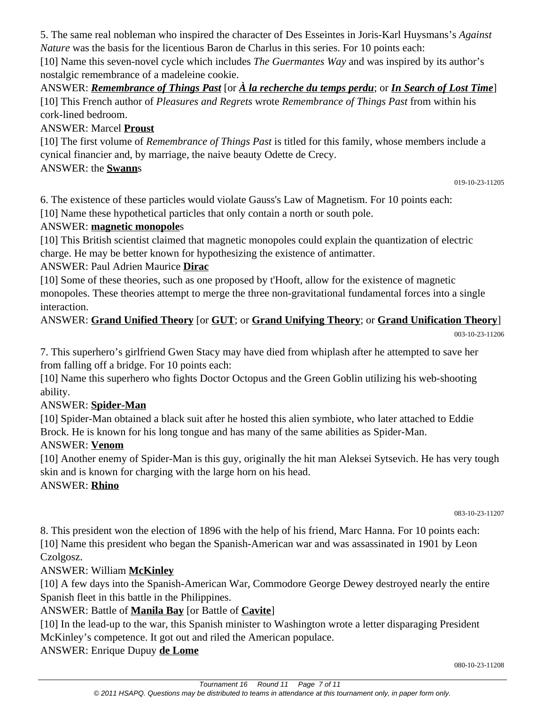5. The same real nobleman who inspired the character of Des Esseintes in Joris-Karl Huysmans's *Against Nature* was the basis for the licentious Baron de Charlus in this series. For 10 points each:

[10] Name this seven-novel cycle which includes *The Guermantes Way* and was inspired by its author's nostalgic remembrance of a madeleine cookie.

ANSWER: *Remembrance of Things Past* [or *À la recherche du temps perdu*; or *In Search of Lost Time*] [10] This French author of *Pleasures and Regrets* wrote *Remembrance of Things Past* from within his cork-lined bedroom.

# ANSWER: Marcel **Proust**

[10] The first volume of *Remembrance of Things Past* is titled for this family, whose members include a cynical financier and, by marriage, the naive beauty Odette de Crecy.

ANSWER: the **Swann**s

019-10-23-11205

6. The existence of these particles would violate Gauss's Law of Magnetism. For 10 points each: [10] Name these hypothetical particles that only contain a north or south pole.

### ANSWER: **magnetic monopole**s

[10] This British scientist claimed that magnetic monopoles could explain the quantization of electric charge. He may be better known for hypothesizing the existence of antimatter.

ANSWER: Paul Adrien Maurice **Dirac**

[10] Some of these theories, such as one proposed by t'Hooft, allow for the existence of magnetic monopoles. These theories attempt to merge the three non-gravitational fundamental forces into a single interaction.

# ANSWER: **Grand Unified Theory** [or **GUT**; or **Grand Unifying Theory**; or **Grand Unification Theory**]

003-10-23-11206

7. This superhero's girlfriend Gwen Stacy may have died from whiplash after he attempted to save her from falling off a bridge. For 10 points each:

[10] Name this superhero who fights Doctor Octopus and the Green Goblin utilizing his web-shooting ability.

# ANSWER: **Spider-Man**

[10] Spider-Man obtained a black suit after he hosted this alien symbiote, who later attached to Eddie Brock. He is known for his long tongue and has many of the same abilities as Spider-Man.

# ANSWER: **Venom**

[10] Another enemy of Spider-Man is this guy, originally the hit man Aleksei Sytsevich. He has very tough skin and is known for charging with the large horn on his head.

ANSWER: **Rhino**

083-10-23-11207

8. This president won the election of 1896 with the help of his friend, Marc Hanna. For 10 points each: [10] Name this president who began the Spanish-American war and was assassinated in 1901 by Leon Czolgosz.

# ANSWER: William **McKinley**

[10] A few days into the Spanish-American War, Commodore George Dewey destroyed nearly the entire Spanish fleet in this battle in the Philippines.

# ANSWER: Battle of **Manila Bay** [or Battle of **Cavite**]

[10] In the lead-up to the war, this Spanish minister to Washington wrote a letter disparaging President McKinley's competence. It got out and riled the American populace.

ANSWER: Enrique Dupuy **de Lome**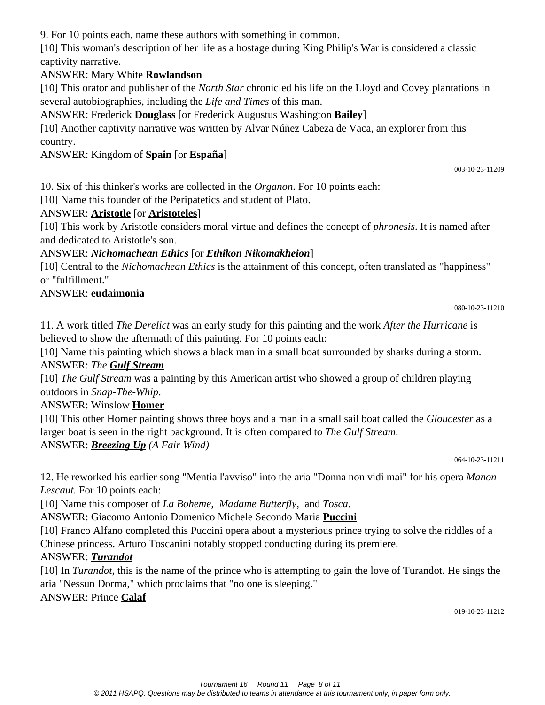9. For 10 points each, name these authors with something in common.

[10] This woman's description of her life as a hostage during King Philip's War is considered a classic captivity narrative.

## ANSWER: Mary White **Rowlandson**

[10] This orator and publisher of the *North Star* chronicled his life on the Lloyd and Covey plantations in several autobiographies, including the *Life and Times* of this man.

ANSWER: Frederick **Douglass** [or Frederick Augustus Washington **Bailey**]

[10] Another captivity narrative was written by Alvar Núñez Cabeza de Vaca, an explorer from this country.

## ANSWER: Kingdom of **Spain** [or **España**]

003-10-23-11209

10. Six of this thinker's works are collected in the *Organon*. For 10 points each:

[10] Name this founder of the Peripatetics and student of Plato.

### ANSWER: **Aristotle** [or **Aristoteles**]

[10] This work by Aristotle considers moral virtue and defines the concept of *phronesis*. It is named after and dedicated to Aristotle's son.

### ANSWER: *Nichomachean Ethics* [or *Ethikon Nikomakheion*]

[10] Central to the *Nichomachean Ethics* is the attainment of this concept, often translated as "happiness" or "fulfillment."

### ANSWER: **eudaimonia**

080-10-23-11210

11. A work titled *The Derelict* was an early study for this painting and the work *After the Hurricane* is believed to show the aftermath of this painting. For 10 points each:

[10] Name this painting which shows a black man in a small boat surrounded by sharks during a storm. ANSWER: *The Gulf Stream*

[10] *The Gulf Stream* was a painting by this American artist who showed a group of children playing outdoors in *Snap-The-Whip*.

# ANSWER: Winslow **Homer**

[10] This other Homer painting shows three boys and a man in a small sail boat called the *Gloucester* as a larger boat is seen in the right background. It is often compared to *The Gulf Stream*. ANSWER: *Breezing Up (A Fair Wind)*

064-10-23-11211

12. He reworked his earlier song "Mentia l'avviso" into the aria "Donna non vidi mai" for his opera *Manon Lescaut.* For 10 points each:

[10] Name this composer of *La Boheme, Madame Butterfly,* and *Tosca.*

ANSWER: Giacomo Antonio Domenico Michele Secondo Maria **Puccini**

[10] Franco Alfano completed this Puccini opera about a mysterious prince trying to solve the riddles of a Chinese princess. Arturo Toscanini notably stopped conducting during its premiere.

### ANSWER: *Turandot*

[10] In *Turandot*, this is the name of the prince who is attempting to gain the love of Turandot. He sings the aria "Nessun Dorma," which proclaims that "no one is sleeping."

### ANSWER: Prince **Calaf**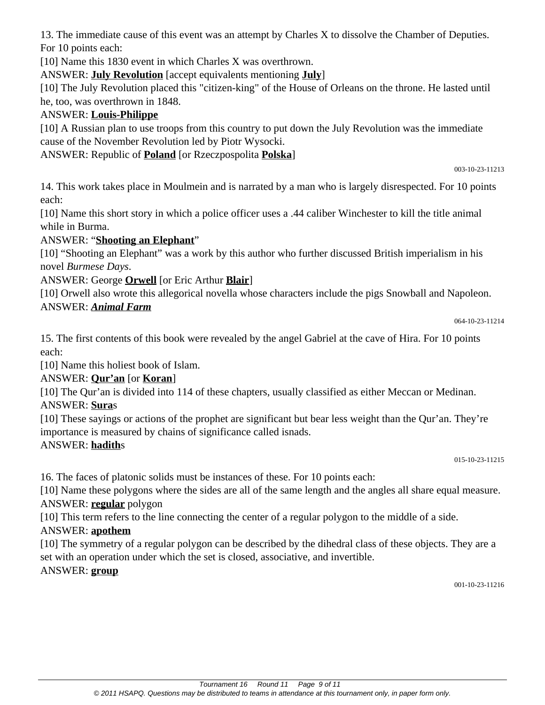13. The immediate cause of this event was an attempt by Charles X to dissolve the Chamber of Deputies. For 10 points each:

[10] Name this 1830 event in which Charles X was overthrown.

ANSWER: **July Revolution** [accept equivalents mentioning **July**]

[10] The July Revolution placed this "citizen-king" of the House of Orleans on the throne. He lasted until he, too, was overthrown in 1848.

### ANSWER: **Louis-Philippe**

[10] A Russian plan to use troops from this country to put down the July Revolution was the immediate cause of the November Revolution led by Piotr Wysocki.

ANSWER: Republic of **Poland** [or Rzeczpospolita **Polska**]

003-10-23-11213

14. This work takes place in Moulmein and is narrated by a man who is largely disrespected. For 10 points each:

[10] Name this short story in which a police officer uses a .44 caliber Winchester to kill the title animal while in Burma.

### ANSWER: "**Shooting an Elephant**"

[10] "Shooting an Elephant" was a work by this author who further discussed British imperialism in his novel *Burmese Days*.

### ANSWER: George **Orwell** [or Eric Arthur **Blair**]

[10] Orwell also wrote this allegorical novella whose characters include the pigs Snowball and Napoleon.

### ANSWER: *Animal Farm*

064-10-23-11214

15. The first contents of this book were revealed by the angel Gabriel at the cave of Hira. For 10 points each:

[10] Name this holiest book of Islam.

### ANSWER: **Qur'an** [or **Koran**]

[10] The Qur'an is divided into 114 of these chapters, usually classified as either Meccan or Medinan. ANSWER: **Sura**s

[10] These sayings or actions of the prophet are significant but bear less weight than the Qur'an. They're importance is measured by chains of significance called isnads.

### ANSWER: **hadith**s

015-10-23-11215

16. The faces of platonic solids must be instances of these. For 10 points each:

[10] Name these polygons where the sides are all of the same length and the angles all share equal measure. ANSWER: **regular** polygon

[10] This term refers to the line connecting the center of a regular polygon to the middle of a side.

### ANSWER: **apothem**

[10] The symmetry of a regular polygon can be described by the dihedral class of these objects. They are a set with an operation under which the set is closed, associative, and invertible.

### ANSWER: **group**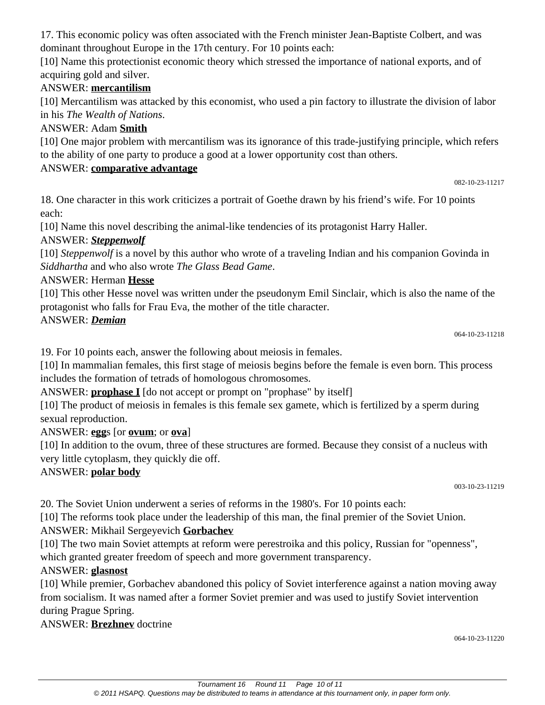17. This economic policy was often associated with the French minister Jean-Baptiste Colbert, and was dominant throughout Europe in the 17th century. For 10 points each:

[10] Name this protectionist economic theory which stressed the importance of national exports, and of acquiring gold and silver.

# ANSWER: **mercantilism**

[10] Mercantilism was attacked by this economist, who used a pin factory to illustrate the division of labor in his *The Wealth of Nations*.

# ANSWER: Adam **Smith**

[10] One major problem with mercantilism was its ignorance of this trade-justifying principle, which refers to the ability of one party to produce a good at a lower opportunity cost than others.

# ANSWER: **comparative advantage**

18. One character in this work criticizes a portrait of Goethe drawn by his friend's wife. For 10 points each:

[10] Name this novel describing the animal-like tendencies of its protagonist Harry Haller.

# ANSWER: *Steppenwolf*

[10] *Steppenwolf* is a novel by this author who wrote of a traveling Indian and his companion Govinda in *Siddhartha* and who also wrote *The Glass Bead Game*.

# ANSWER: Herman **Hesse**

[10] This other Hesse novel was written under the pseudonym Emil Sinclair, which is also the name of the protagonist who falls for Frau Eva, the mother of the title character.

# ANSWER: *Demian*

064-10-23-11218

082-10-23-11217

19. For 10 points each, answer the following about meiosis in females.

[10] In mammalian females, this first stage of meiosis begins before the female is even born. This process includes the formation of tetrads of homologous chromosomes.

ANSWER: **prophase I** [do not accept or prompt on "prophase" by itself]

[10] The product of meiosis in females is this female sex gamete, which is fertilized by a sperm during sexual reproduction.

# ANSWER: **egg**s [or **ovum**; or **ova**]

[10] In addition to the ovum, three of these structures are formed. Because they consist of a nucleus with very little cytoplasm, they quickly die off.

# ANSWER: **polar body**

003-10-23-11219

20. The Soviet Union underwent a series of reforms in the 1980's. For 10 points each:

[10] The reforms took place under the leadership of this man, the final premier of the Soviet Union.

# ANSWER: Mikhail Sergeyevich **Gorbachev**

[10] The two main Soviet attempts at reform were perestroika and this policy, Russian for "openness", which granted greater freedom of speech and more government transparency.

# ANSWER: **glasnost**

[10] While premier, Gorbachev abandoned this policy of Soviet interference against a nation moving away from socialism. It was named after a former Soviet premier and was used to justify Soviet intervention during Prague Spring.

ANSWER: **Brezhnev** doctrine